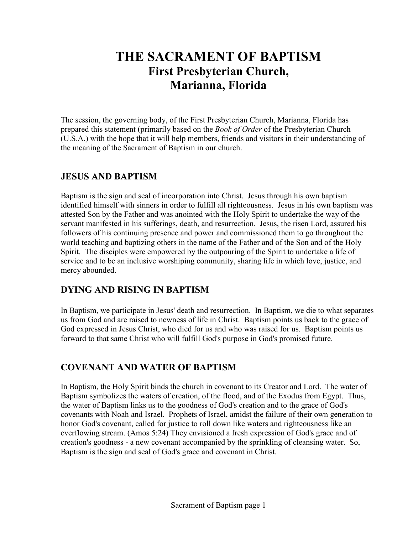# THE SACRAMENT OF BAPTISM First Presbyterian Church, Marianna, Florida

The session, the governing body, of the First Presbyterian Church, Marianna, Florida has prepared this statement (primarily based on the *Book of Order* of the Presbyterian Church (U.S.A.) with the hope that it will help members, friends and visitors in their understanding of the meaning of the Sacrament of Baptism in our church.

#### JESUS AND BAPTISM

Baptism is the sign and seal of incorporation into Christ. Jesus through his own baptism identified himself with sinners in order to fulfill all righteousness. Jesus in his own baptism was attested Son by the Father and was anointed with the Holy Spirit to undertake the way of the servant manifested in his sufferings, death, and resurrection. Jesus, the risen Lord, assured his followers of his continuing presence and power and commissioned them to go throughout the world teaching and baptizing others in the name of the Father and of the Son and of the Holy Spirit. The disciples were empowered by the outpouring of the Spirit to undertake a life of service and to be an inclusive worshiping community, sharing life in which love, justice, and mercy abounded.

# DYING AND RISING IN BAPTISM

In Baptism, we participate in Jesus' death and resurrection. In Baptism, we die to what separates us from God and are raised to newness of life in Christ. Baptism points us back to the grace of God expressed in Jesus Christ, who died for us and who was raised for us. Baptism points us forward to that same Christ who will fulfill God's purpose in God's promised future.

# COVENANT AND WATER OF BAPTISM

In Baptism, the Holy Spirit binds the church in covenant to its Creator and Lord. The water of Baptism symbolizes the waters of creation, of the flood, and of the Exodus from Egypt. Thus, the water of Baptism links us to the goodness of God's creation and to the grace of God's covenants with Noah and Israel. Prophets of Israel, amidst the failure of their own generation to honor God's covenant, called for justice to roll down like waters and righteousness like an everflowing stream. (Amos 5:24) They envisioned a fresh expression of God's grace and of creation's goodness - a new covenant accompanied by the sprinkling of cleansing water. So, Baptism is the sign and seal of God's grace and covenant in Christ.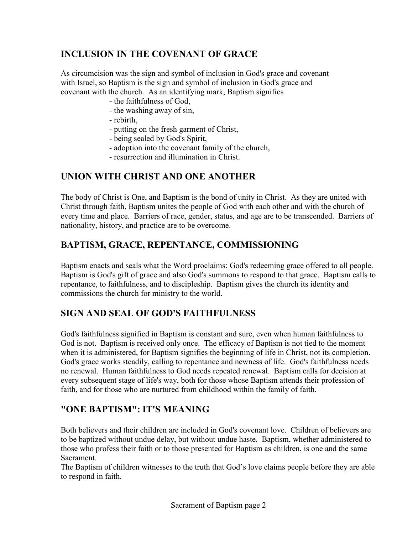# INCLUSION IN THE COVENANT OF GRACE

As circumcision was the sign and symbol of inclusion in God's grace and covenant with Israel, so Baptism is the sign and symbol of inclusion in God's grace and covenant with the church. As an identifying mark, Baptism signifies

- the faithfulness of God,
- the washing away of sin,
- rebirth,
- putting on the fresh garment of Christ,
- being sealed by God's Spirit,
- adoption into the covenant family of the church,
- resurrection and illumination in Christ.

#### UNION WITH CHRIST AND ONE ANOTHER

The body of Christ is One, and Baptism is the bond of unity in Christ. As they are united with Christ through faith, Baptism unites the people of God with each other and with the church of every time and place. Barriers of race, gender, status, and age are to be transcended. Barriers of nationality, history, and practice are to be overcome.

# BAPTISM, GRACE, REPENTANCE, COMMISSIONING

Baptism enacts and seals what the Word proclaims: God's redeeming grace offered to all people. Baptism is God's gift of grace and also God's summons to respond to that grace. Baptism calls to repentance, to faithfulness, and to discipleship. Baptism gives the church its identity and commissions the church for ministry to the world.

# SIGN AND SEAL OF GOD'S FAITHFULNESS

God's faithfulness signified in Baptism is constant and sure, even when human faithfulness to God is not. Baptism is received only once. The efficacy of Baptism is not tied to the moment when it is administered, for Baptism signifies the beginning of life in Christ, not its completion. God's grace works steadily, calling to repentance and newness of life. God's faithfulness needs no renewal. Human faithfulness to God needs repeated renewal. Baptism calls for decision at every subsequent stage of life's way, both for those whose Baptism attends their profession of faith, and for those who are nurtured from childhood within the family of faith.

# "ONE BAPTISM": IT'S MEANING

Both believers and their children are included in God's covenant love. Children of believers are to be baptized without undue delay, but without undue haste. Baptism, whether administered to those who profess their faith or to those presented for Baptism as children, is one and the same Sacrament.

The Baptism of children witnesses to the truth that God's love claims people before they are able to respond in faith.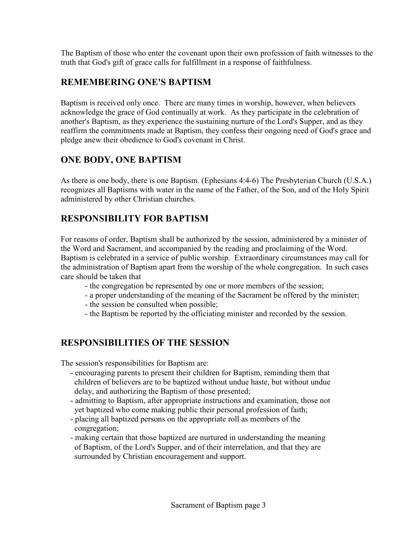The Baptism of those who enter the covenant upon their own profession of faith witnesses to the truth that God's gift of grace calls for fulfillment in a response of faithfulness.

#### REMEMBERING ONE'S BAPTISM

Baptism is received only once. There are many times in worship, however, when believers acknowledge the grace of God continually at work. As they participate in the celebration of another's Baptism, as they experience the sustaining nurture of the Lord's Supper, and as they reaffirm the commitments made at Baptism, they confess their ongoing need of God's grace and pledge anew their obedience to God's covenant in Christ.

#### ONE BODY, ONE BAPTISM

As there is one body, there is one Baptism. (Ephesians 4:4-6) The Presbyterian Church (U.S.A.) recognizes all Baptisms with water in the name of the Father, of the Son, and of the Holy Spirit administered by other Christian churches.

# RESPONSIBILITY FOR BAPTISM

For reasons of order, Baptism shall be authorized by the session, administered by a minister of the Word and Sacrament, and accompanied by the reading and proclaiming of the Word. Baptism is celebrated in a service of public worship. Extraordinary circumstances may call for the administration of Baptism apart from the worship of the whole congregation. In such cases care should be taken that

- the congregation be represented by one or more members of the session;
- a proper understanding of the meaning of the Sacrament be offered by the minister;
- the session be consulted when possible;
- the Baptism be reported by the officiating minister and recorded by the session.

# RESPONSIBILITIES OF THE SESSION

The session's responsibilities for Baptism are:

- encouraging parents to present their children for Baptism, reminding them that children of believers are to be baptized without undue haste, but without undue delay, and authorizing the Baptism of those presented;
- admitting to Baptism, after appropriate instructions and examination, those not yet baptized who come making public their personal profession of faith;
- placing all baptized persons on the appropriate roll as members of the congregation;
- making certain that those baptized are nurtured in understanding the meaning of Baptism, of the Lord's Supper, and of their interrelation, and that they are surrounded by Christian encouragement and support.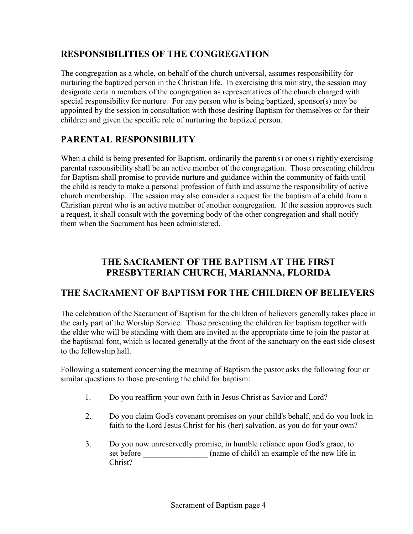# RESPONSIBILITIES OF THE CONGREGATION

The congregation as a whole, on behalf of the church universal, assumes responsibility for nurturing the baptized person in the Christian life. In exercising this ministry, the session may designate certain members of the congregation as representatives of the church charged with special responsibility for nurture. For any person who is being baptized, sponsor(s) may be appointed by the session in consultation with those desiring Baptism for themselves or for their children and given the specific role of nurturing the baptized person.

# PARENTAL RESPONSIBILITY

When a child is being presented for Baptism, ordinarily the parent(s) or one(s) rightly exercising parental responsibility shall be an active member of the congregation. Those presenting children for Baptism shall promise to provide nurture and guidance within the community of faith until the child is ready to make a personal profession of faith and assume the responsibility of active church membership. The session may also consider a request for the baptism of a child from a Christian parent who is an active member of another congregation. If the session approves such a request, it shall consult with the governing body of the other congregation and shall notify them when the Sacrament has been administered.

# THE SACRAMENT OF THE BAPTISM AT THE FIRST PRESBYTERIAN CHURCH, MARIANNA, FLORIDA

#### THE SACRAMENT OF BAPTISM FOR THE CHILDREN OF BELIEVERS

The celebration of the Sacrament of Baptism for the children of believers generally takes place in the early part of the Worship Service. Those presenting the children for baptism together with the elder who will be standing with them are invited at the appropriate time to join the pastor at the baptismal font, which is located generally at the front of the sanctuary on the east side closest to the fellowship hall.

Following a statement concerning the meaning of Baptism the pastor asks the following four or similar questions to those presenting the child for baptism:

- 1. Do you reaffirm your own faith in Jesus Christ as Savior and Lord?
- 2. Do you claim God's covenant promises on your child's behalf, and do you look in faith to the Lord Jesus Christ for his (her) salvation, as you do for your own?
- 3. Do you now unreservedly promise, in humble reliance upon God's grace, to set before \_\_\_\_\_\_\_\_\_\_\_\_\_\_\_\_\_\_\_ (name of child) an example of the new life in Christ?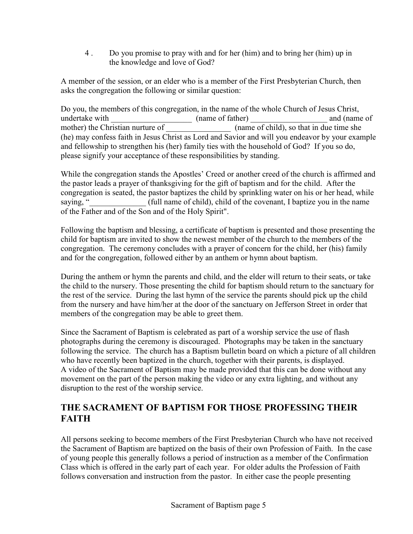4 . Do you promise to pray with and for her (him) and to bring her (him) up in the knowledge and love of God?

A member of the session, or an elder who is a member of the First Presbyterian Church, then asks the congregation the following or similar question:

Do you, the members of this congregation, in the name of the whole Church of Jesus Christ, undertake with \_\_\_\_\_\_\_\_\_\_\_\_\_\_\_\_\_\_\_\_\_\_\_\_\_\_ (name of father) and (name of mother) the Christian nurture of  $\qquad \qquad$  (name of child), so that in due time she (he) may confess faith in Jesus Christ as Lord and Savior and will you endeavor by your example and fellowship to strengthen his (her) family ties with the household of God? If you so do, please signify your acceptance of these responsibilities by standing.

While the congregation stands the Apostles' Creed or another creed of the church is affirmed and the pastor leads a prayer of thanksgiving for the gift of baptism and for the child. After the congregation is seated, the pastor baptizes the child by sprinkling water on his or her head, while saying, " (full name of child), child of the covenant, I baptize you in the name of the Father and of the Son and of the Holy Spirit".

Following the baptism and blessing, a certificate of baptism is presented and those presenting the child for baptism are invited to show the newest member of the church to the members of the congregation. The ceremony concludes with a prayer of concern for the child, her (his) family and for the congregation, followed either by an anthem or hymn about baptism.

During the anthem or hymn the parents and child, and the elder will return to their seats, or take the child to the nursery. Those presenting the child for baptism should return to the sanctuary for the rest of the service. During the last hymn of the service the parents should pick up the child from the nursery and have him/her at the door of the sanctuary on Jefferson Street in order that members of the congregation may be able to greet them.

Since the Sacrament of Baptism is celebrated as part of a worship service the use of flash photographs during the ceremony is discouraged. Photographs may be taken in the sanctuary following the service. The church has a Baptism bulletin board on which a picture of all children who have recently been baptized in the church, together with their parents, is displayed. A video of the Sacrament of Baptism may be made provided that this can be done without any movement on the part of the person making the video or any extra lighting, and without any disruption to the rest of the worship service.

# THE SACRAMENT OF BAPTISM FOR THOSE PROFESSING THEIR FAITH

All persons seeking to become members of the First Presbyterian Church who have not received the Sacrament of Baptism are baptized on the basis of their own Profession of Faith. In the case of young people this generally follows a period of instruction as a member of the Confirmation Class which is offered in the early part of each year. For older adults the Profession of Faith follows conversation and instruction from the pastor. In either case the people presenting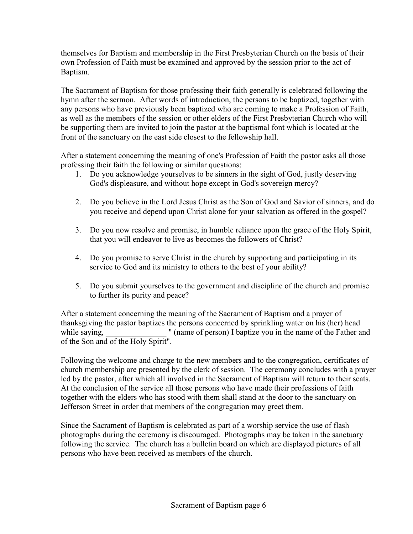themselves for Baptism and membership in the First Presbyterian Church on the basis of their own Profession of Faith must be examined and approved by the session prior to the act of Baptism.

The Sacrament of Baptism for those professing their faith generally is celebrated following the hymn after the sermon. After words of introduction, the persons to be baptized, together with any persons who have previously been baptized who are coming to make a Profession of Faith, as well as the members of the session or other elders of the First Presbyterian Church who will be supporting them are invited to join the pastor at the baptismal font which is located at the front of the sanctuary on the east side closest to the fellowship hall.

After a statement concerning the meaning of one's Profession of Faith the pastor asks all those professing their faith the following or similar questions:

- 1. Do you acknowledge yourselves to be sinners in the sight of God, justly deserving God's displeasure, and without hope except in God's sovereign mercy?
- 2. Do you believe in the Lord Jesus Christ as the Son of God and Savior of sinners, and do you receive and depend upon Christ alone for your salvation as offered in the gospel?
- 3. Do you now resolve and promise, in humble reliance upon the grace of the Holy Spirit, that you will endeavor to live as becomes the followers of Christ?
- 4. Do you promise to serve Christ in the church by supporting and participating in its service to God and its ministry to others to the best of your ability?
- 5. Do you submit yourselves to the government and discipline of the church and promise to further its purity and peace?

After a statement concerning the meaning of the Sacrament of Baptism and a prayer of thanksgiving the pastor baptizes the persons concerned by sprinkling water on his (her) head while saying, " (name of person) I baptize you in the name of the Father and of the Son and of the Holy Spirit".

Following the welcome and charge to the new members and to the congregation, certificates of church membership are presented by the clerk of session. The ceremony concludes with a prayer led by the pastor, after which all involved in the Sacrament of Baptism will return to their seats. At the conclusion of the service all those persons who have made their professions of faith together with the elders who has stood with them shall stand at the door to the sanctuary on Jefferson Street in order that members of the congregation may greet them.

Since the Sacrament of Baptism is celebrated as part of a worship service the use of flash photographs during the ceremony is discouraged. Photographs may be taken in the sanctuary following the service. The church has a bulletin board on which are displayed pictures of all persons who have been received as members of the church.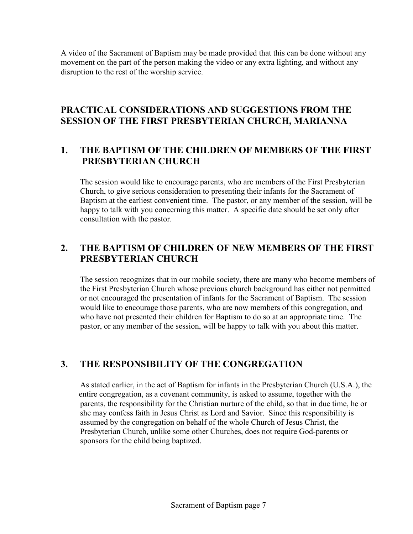A video of the Sacrament of Baptism may be made provided that this can be done without any movement on the part of the person making the video or any extra lighting, and without any disruption to the rest of the worship service.

## PRACTICAL CONSIDERATIONS AND SUGGESTIONS FROM THE SESSION OF THE FIRST PRESBYTERIAN CHURCH, MARIANNA

## 1. THE BAPTISM OF THE CHILDREN OF MEMBERS OF THE FIRST PRESBYTERIAN CHURCH

 The session would like to encourage parents, who are members of the First Presbyterian Church, to give serious consideration to presenting their infants for the Sacrament of Baptism at the earliest convenient time. The pastor, or any member of the session, will be happy to talk with you concerning this matter. A specific date should be set only after consultation with the pastor.

## 2. THE BAPTISM OF CHILDREN OF NEW MEMBERS OF THE FIRST PRESBYTERIAN CHURCH

The session recognizes that in our mobile society, there are many who become members of the First Presbyterian Church whose previous church background has either not permitted or not encouraged the presentation of infants for the Sacrament of Baptism. The session would like to encourage those parents, who are now members of this congregation, and who have not presented their children for Baptism to do so at an appropriate time. The pastor, or any member of the session, will be happy to talk with you about this matter.

# 3. THE RESPONSIBILITY OF THE CONGREGATION

As stated earlier, in the act of Baptism for infants in the Presbyterian Church (U.S.A.), the entire congregation, as a covenant community, is asked to assume, together with the parents, the responsibility for the Christian nurture of the child, so that in due time, he or she may confess faith in Jesus Christ as Lord and Savior. Since this responsibility is assumed by the congregation on behalf of the whole Church of Jesus Christ, the Presbyterian Church, unlike some other Churches, does not require God-parents or sponsors for the child being baptized.